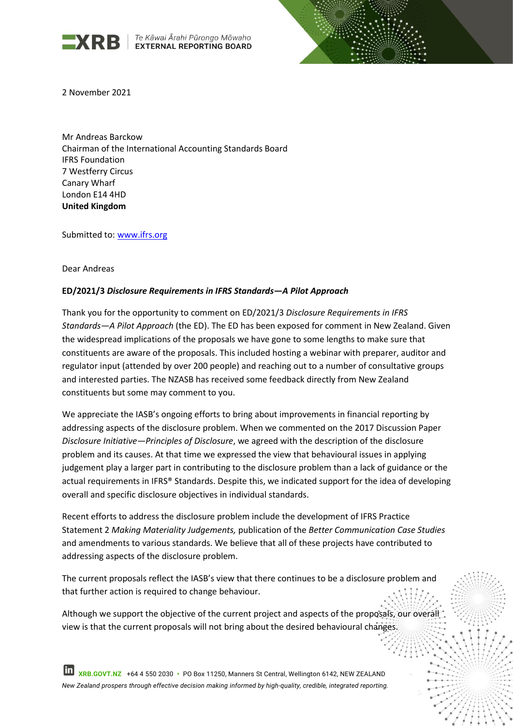

**EXRB** Te Kāwai Ārahi Pūrongo Mōwaho



2 November 2021

Mr Andreas Barckow Chairman of the International Accounting Standards Board IFRS Foundation 7 Westferry Circus Canary Wharf London E14 4HD **United Kingdom**

Submitted to: [www.ifrs.org](http://www.ifrs.org/)

#### Dear Andreas

## **ED/2021/3** *Disclosure Requirements in IFRS Standards—A Pilot Approach*

Thank you for the opportunity to comment on ED/2021/3 *Disclosure Requirements in IFRS Standards—A Pilot Approach* (the ED). The ED has been exposed for comment in New Zealand. Given the widespread implications of the proposals we have gone to some lengths to make sure that constituents are aware of the proposals. This included hosting a webinar with preparer, auditor and regulator input (attended by over 200 people) and reaching out to a number of consultative groups and interested parties. The NZASB has received some feedback directly from New Zealand constituents but some may comment to you.

We appreciate the IASB's ongoing efforts to bring about improvements in financial reporting by addressing aspects of the disclosure problem. When we commented on the 2017 Discussion Paper *Disclosure Initiative—Principles of Disclosure*, we agreed with the description of the disclosure problem and its causes. At that time we expressed the view that behavioural issues in applying judgement play a larger part in contributing to the disclosure problem than a lack of guidance or the actual requirements in IFRS® Standards. Despite this, we indicated support for the idea of developing overall and specific disclosure objectives in individual standards.

Recent efforts to address the disclosure problem include the development of IFRS Practice Statement 2 *Making Materiality Judgements,* publication of the *Better Communication Case Studies*  and amendments to various standards. We believe that all of these projects have contributed to addressing aspects of the disclosure problem.

The current proposals reflect the IASB's view that there continues to be a disclosure problem and that further action is required to change behaviour.

Although we support the objective of the current project and aspects of the proposals, our overall view is that the current proposals will not bring about the desired behavioural changes.

 **XRB.GOVT.NZ** +64 4 550 2030 **•** PO Box 11250, Manners St Central, Wellington 6142, NEW ZEALAND *New Zealand prospers through effective decision making informed by high-quality, credible, integrated reporting.*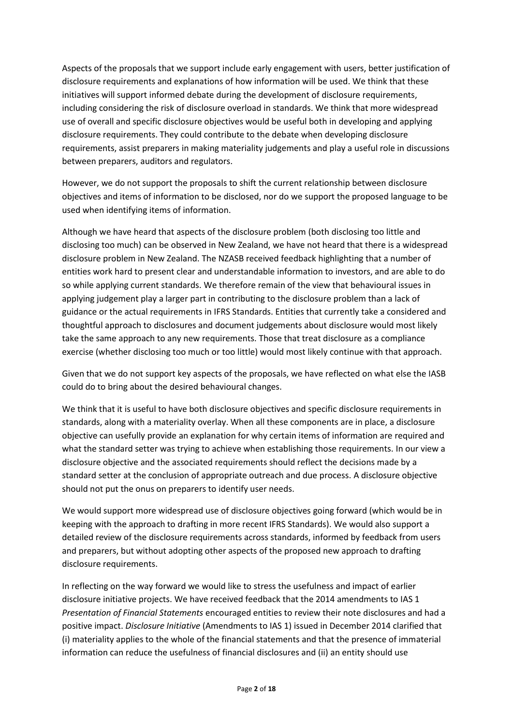Aspects of the proposals that we support include early engagement with users, better justification of disclosure requirements and explanations of how information will be used. We think that these initiatives will support informed debate during the development of disclosure requirements, including considering the risk of disclosure overload in standards. We think that more widespread use of overall and specific disclosure objectives would be useful both in developing and applying disclosure requirements. They could contribute to the debate when developing disclosure requirements, assist preparers in making materiality judgements and play a useful role in discussions between preparers, auditors and regulators.

However, we do not support the proposals to shift the current relationship between disclosure objectives and items of information to be disclosed, nor do we support the proposed language to be used when identifying items of information.

Although we have heard that aspects of the disclosure problem (both disclosing too little and disclosing too much) can be observed in New Zealand, we have not heard that there is a widespread disclosure problem in New Zealand. The NZASB received feedback highlighting that a number of entities work hard to present clear and understandable information to investors, and are able to do so while applying current standards. We therefore remain of the view that behavioural issues in applying judgement play a larger part in contributing to the disclosure problem than a lack of guidance or the actual requirements in IFRS Standards. Entities that currently take a considered and thoughtful approach to disclosures and document judgements about disclosure would most likely take the same approach to any new requirements. Those that treat disclosure as a compliance exercise (whether disclosing too much or too little) would most likely continue with that approach.

Given that we do not support key aspects of the proposals, we have reflected on what else the IASB could do to bring about the desired behavioural changes.

We think that it is useful to have both disclosure objectives and specific disclosure requirements in standards, along with a materiality overlay. When all these components are in place, a disclosure objective can usefully provide an explanation for why certain items of information are required and what the standard setter was trying to achieve when establishing those requirements. In our view a disclosure objective and the associated requirements should reflect the decisions made by a standard setter at the conclusion of appropriate outreach and due process. A disclosure objective should not put the onus on preparers to identify user needs.

We would support more widespread use of disclosure objectives going forward (which would be in keeping with the approach to drafting in more recent IFRS Standards). We would also support a detailed review of the disclosure requirements across standards, informed by feedback from users and preparers, but without adopting other aspects of the proposed new approach to drafting disclosure requirements.

In reflecting on the way forward we would like to stress the usefulness and impact of earlier disclosure initiative projects. We have received feedback that the 2014 amendments to IAS 1 *Presentation of Financial Statements* encouraged entities to review their note disclosures and had a positive impact. *Disclosure Initiative* (Amendments to IAS 1) issued in December 2014 clarified that (i) materiality applies to the whole of the financial statements and that the presence of immaterial information can reduce the usefulness of financial disclosures and (ii) an entity should use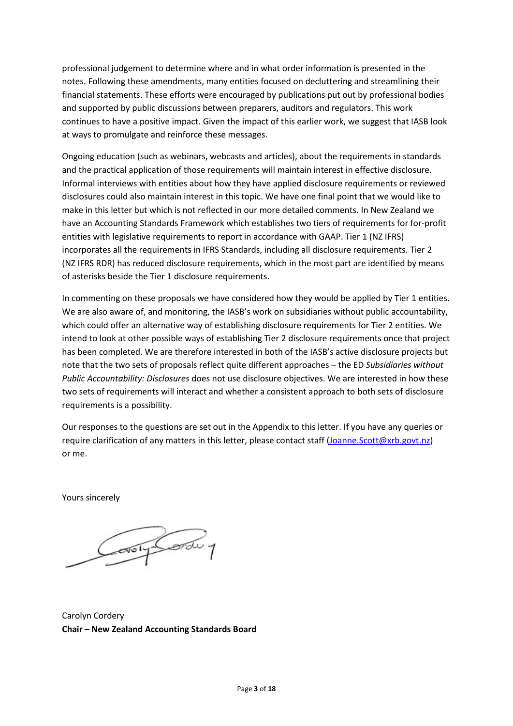professional judgement to determine where and in what order information is presented in the notes. Following these amendments, many entities focused on decluttering and streamlining their financial statements. These efforts were encouraged by publications put out by professional bodies and supported by public discussions between preparers, auditors and regulators. This work continues to have a positive impact. Given the impact of this earlier work, we suggest that IASB look at ways to promulgate and reinforce these messages.

Ongoing education (such as webinars, webcasts and articles), about the requirements in standards and the practical application of those requirements will maintain interest in effective disclosure. Informal interviews with entities about how they have applied disclosure requirements or reviewed disclosures could also maintain interest in this topic. We have one final point that we would like to make in this letter but which is not reflected in our more detailed comments. In New Zealand we have an Accounting Standards Framework which establishes two tiers of requirements for for-profit entities with legislative requirements to report in accordance with GAAP. Tier 1 (NZ IFRS) incorporates all the requirements in IFRS Standards, including all disclosure requirements. Tier 2 (NZ IFRS RDR) has reduced disclosure requirements, which in the most part are identified by means of asterisks beside the Tier 1 disclosure requirements.

In commenting on these proposals we have considered how they would be applied by Tier 1 entities. We are also aware of, and monitoring, the IASB's work on subsidiaries without public accountability, which could offer an alternative way of establishing disclosure requirements for Tier 2 entities. We intend to look at other possible ways of establishing Tier 2 disclosure requirements once that project has been completed. We are therefore interested in both of the IASB's active disclosure projects but note that the two sets of proposals reflect quite different approaches – the ED *Subsidiaries without Public Accountability: Disclosures* does not use disclosure objectives. We are interested in how these two sets of requirements will interact and whether a consistent approach to both sets of disclosure requirements is a possibility.

Our responses to the questions are set out in the Appendix to this letter. If you have any queries or require clarification of any matters in this letter, please contact staff [\(Joanne.Scott@xrb.govt.nz\)](mailto:Joanne.Scott@xrb.govt.nz) or me.

Yours sincerely

Construction 1

Carolyn Cordery **Chair – New Zealand Accounting Standards Board**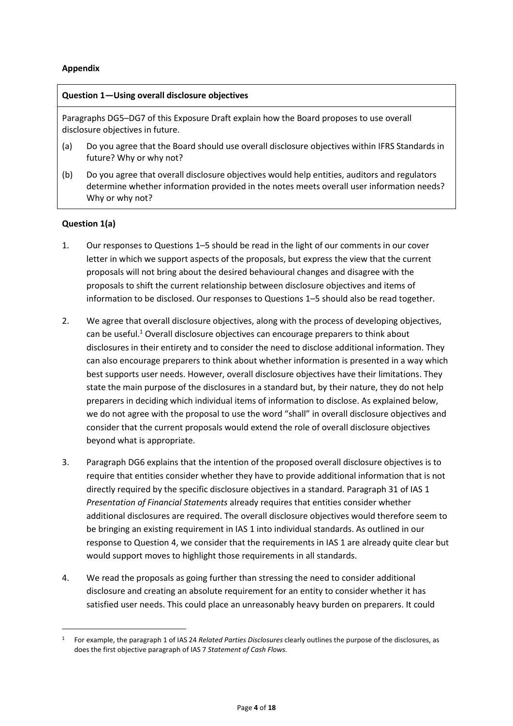## **Appendix**

### **Question 1—Using overall disclosure objectives**

Paragraphs DG5–DG7 of this Exposure Draft explain how the Board proposes to use overall disclosure objectives in future.

- (a) Do you agree that the Board should use overall disclosure objectives within IFRS Standards in future? Why or why not?
- (b) Do you agree that overall disclosure objectives would help entities, auditors and regulators determine whether information provided in the notes meets overall user information needs? Why or why not?

## **Question 1(a)**

- 1. Our responses to Questions 1–5 should be read in the light of our comments in our cover letter in which we support aspects of the proposals, but express the view that the current proposals will not bring about the desired behavioural changes and disagree with the proposals to shift the current relationship between disclosure objectives and items of information to be disclosed. Our responses to Questions 1–5 should also be read together.
- 2. We agree that overall disclosure objectives, along with the process of developing objectives, can be useful.<sup>1</sup> Overall disclosure objectives can encourage preparers to think about disclosures in their entirety and to consider the need to disclose additional information. They can also encourage preparers to think about whether information is presented in a way which best supports user needs. However, overall disclosure objectives have their limitations. They state the main purpose of the disclosures in a standard but, by their nature, they do not help preparers in deciding which individual items of information to disclose. As explained below, we do not agree with the proposal to use the word "shall" in overall disclosure objectives and consider that the current proposals would extend the role of overall disclosure objectives beyond what is appropriate.
- 3. Paragraph DG6 explains that the intention of the proposed overall disclosure objectives is to require that entities consider whether they have to provide additional information that is not directly required by the specific disclosure objectives in a standard. Paragraph 31 of IAS 1 *Presentation of Financial Statements* already requires that entities consider whether additional disclosures are required. The overall disclosure objectives would therefore seem to be bringing an existing requirement in IAS 1 into individual standards. As outlined in our response to Question 4, we consider that the requirements in IAS 1 are already quite clear but would support moves to highlight those requirements in all standards.
- 4. We read the proposals as going further than stressing the need to consider additional disclosure and creating an absolute requirement for an entity to consider whether it has satisfied user needs. This could place an unreasonably heavy burden on preparers. It could

<sup>1</sup> For example, the paragraph 1 of IAS 24 *Related Parties Disclosures* clearly outlines the purpose of the disclosures, as does the first objective paragraph of IAS 7 *Statement of Cash Flows.*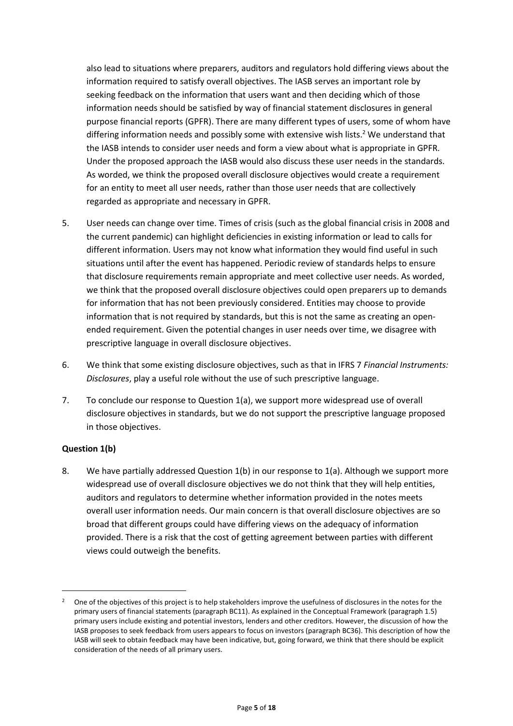also lead to situations where preparers, auditors and regulators hold differing views about the information required to satisfy overall objectives. The IASB serves an important role by seeking feedback on the information that users want and then deciding which of those information needs should be satisfied by way of financial statement disclosures in general purpose financial reports (GPFR). There are many different types of users, some of whom have differing information needs and possibly some with extensive wish lists.<sup>2</sup> We understand that the IASB intends to consider user needs and form a view about what is appropriate in GPFR. Under the proposed approach the IASB would also discuss these user needs in the standards. As worded, we think the proposed overall disclosure objectives would create a requirement for an entity to meet all user needs, rather than those user needs that are collectively regarded as appropriate and necessary in GPFR.

- 5. User needs can change over time. Times of crisis (such as the global financial crisis in 2008 and the current pandemic) can highlight deficiencies in existing information or lead to calls for different information. Users may not know what information they would find useful in such situations until after the event has happened. Periodic review of standards helps to ensure that disclosure requirements remain appropriate and meet collective user needs. As worded, we think that the proposed overall disclosure objectives could open preparers up to demands for information that has not been previously considered. Entities may choose to provide information that is not required by standards, but this is not the same as creating an openended requirement. Given the potential changes in user needs over time, we disagree with prescriptive language in overall disclosure objectives.
- 6. We think that some existing disclosure objectives, such as that in IFRS 7 *Financial Instruments: Disclosures*, play a useful role without the use of such prescriptive language.
- 7. To conclude our response to Question 1(a), we support more widespread use of overall disclosure objectives in standards, but we do not support the prescriptive language proposed in those objectives.

# **Question 1(b)**

8. We have partially addressed Question 1(b) in our response to 1(a). Although we support more widespread use of overall disclosure objectives we do not think that they will help entities, auditors and regulators to determine whether information provided in the notes meets overall user information needs. Our main concern is that overall disclosure objectives are so broad that different groups could have differing views on the adequacy of information provided. There is a risk that the cost of getting agreement between parties with different views could outweigh the benefits.

<sup>&</sup>lt;sup>2</sup> One of the objectives of this project is to help stakeholders improve the usefulness of disclosures in the notes for the primary users of financial statements (paragraph BC11). As explained in the Conceptual Framework (paragraph 1.5) primary users include existing and potential investors, lenders and other creditors. However, the discussion of how the IASB proposes to seek feedback from users appears to focus on investors (paragraph BC36). This description of how the IASB will seek to obtain feedback may have been indicative, but, going forward, we think that there should be explicit consideration of the needs of all primary users.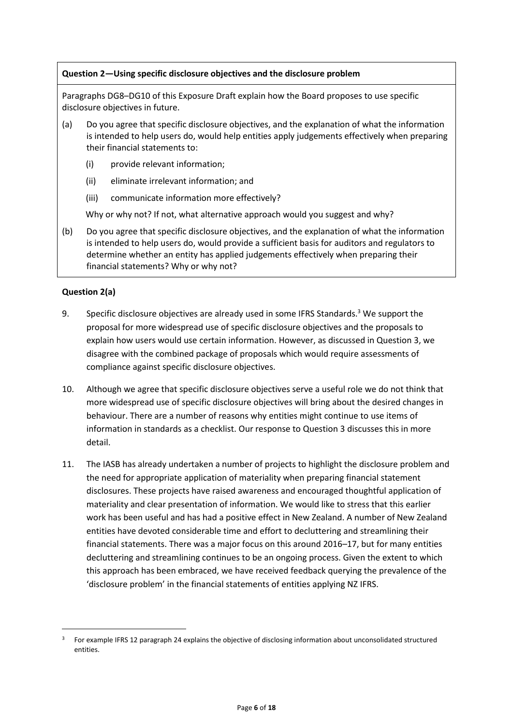## **Question 2—Using specific disclosure objectives and the disclosure problem**

Paragraphs DG8–DG10 of this Exposure Draft explain how the Board proposes to use specific disclosure objectives in future.

- (a) Do you agree that specific disclosure objectives, and the explanation of what the information is intended to help users do, would help entities apply judgements effectively when preparing their financial statements to:
	- (i) provide relevant information;
	- (ii) eliminate irrelevant information; and
	- (iii) communicate information more effectively?

Why or why not? If not, what alternative approach would you suggest and why?

(b) Do you agree that specific disclosure objectives, and the explanation of what the information is intended to help users do, would provide a sufficient basis for auditors and regulators to determine whether an entity has applied judgements effectively when preparing their financial statements? Why or why not?

## **Question 2(a)**

- 9. Specific disclosure objectives are already used in some IFRS Standards.<sup>3</sup> We support the proposal for more widespread use of specific disclosure objectives and the proposals to explain how users would use certain information. However, as discussed in Question 3, we disagree with the combined package of proposals which would require assessments of compliance against specific disclosure objectives.
- 10. Although we agree that specific disclosure objectives serve a useful role we do not think that more widespread use of specific disclosure objectives will bring about the desired changes in behaviour. There are a number of reasons why entities might continue to use items of information in standards as a checklist. Our response to Question 3 discusses this in more detail.
- 11. The IASB has already undertaken a number of projects to highlight the disclosure problem and the need for appropriate application of materiality when preparing financial statement disclosures. These projects have raised awareness and encouraged thoughtful application of materiality and clear presentation of information. We would like to stress that this earlier work has been useful and has had a positive effect in New Zealand. A number of New Zealand entities have devoted considerable time and effort to decluttering and streamlining their financial statements. There was a major focus on this around 2016–17, but for many entities decluttering and streamlining continues to be an ongoing process. Given the extent to which this approach has been embraced, we have received feedback querying the prevalence of the 'disclosure problem' in the financial statements of entities applying NZ IFRS.

<sup>3</sup> For example IFRS 12 paragraph 24 explains the objective of disclosing information about unconsolidated structured entities.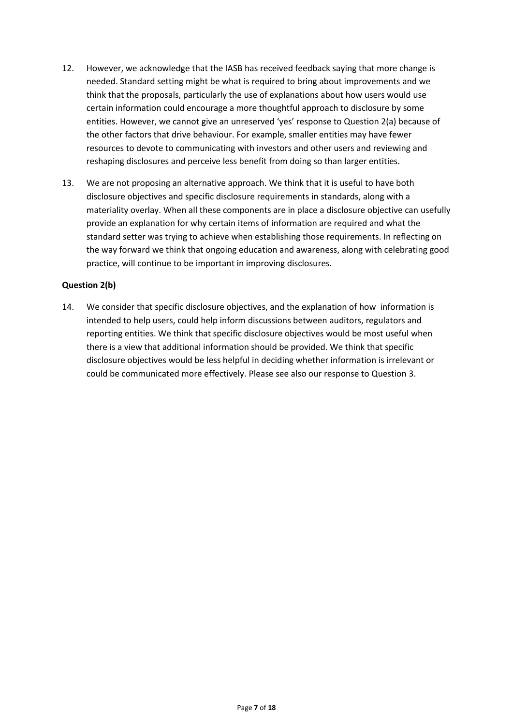- 12. However, we acknowledge that the IASB has received feedback saying that more change is needed. Standard setting might be what is required to bring about improvements and we think that the proposals, particularly the use of explanations about how users would use certain information could encourage a more thoughtful approach to disclosure by some entities. However, we cannot give an unreserved 'yes' response to Question 2(a) because of the other factors that drive behaviour. For example, smaller entities may have fewer resources to devote to communicating with investors and other users and reviewing and reshaping disclosures and perceive less benefit from doing so than larger entities.
- 13. We are not proposing an alternative approach. We think that it is useful to have both disclosure objectives and specific disclosure requirements in standards, along with a materiality overlay. When all these components are in place a disclosure objective can usefully provide an explanation for why certain items of information are required and what the standard setter was trying to achieve when establishing those requirements. In reflecting on the way forward we think that ongoing education and awareness, along with celebrating good practice, will continue to be important in improving disclosures.

## **Question 2(b)**

14. We consider that specific disclosure objectives, and the explanation of how information is intended to help users, could help inform discussions between auditors, regulators and reporting entities. We think that specific disclosure objectives would be most useful when there is a view that additional information should be provided. We think that specific disclosure objectives would be less helpful in deciding whether information is irrelevant or could be communicated more effectively. Please see also our response to Question 3.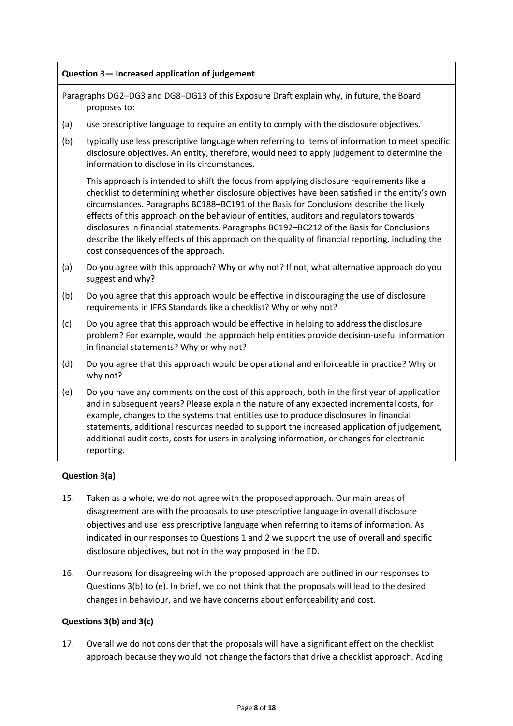## **Question 3— Increased application of judgement**

Paragraphs DG2–DG3 and DG8–DG13 of this Exposure Draft explain why, in future, the Board proposes to:

- (a) use prescriptive language to require an entity to comply with the disclosure objectives.
- (b) typically use less prescriptive language when referring to items of information to meet specific disclosure objectives. An entity, therefore, would need to apply judgement to determine the information to disclose in its circumstances.

This approach is intended to shift the focus from applying disclosure requirements like a checklist to determining whether disclosure objectives have been satisfied in the entity's own circumstances. Paragraphs BC188–BC191 of the Basis for Conclusions describe the likely effects of this approach on the behaviour of entities, auditors and regulators towards disclosures in financial statements. Paragraphs BC192–BC212 of the Basis for Conclusions describe the likely effects of this approach on the quality of financial reporting, including the cost consequences of the approach.

- (a) Do you agree with this approach? Why or why not? If not, what alternative approach do you suggest and why?
- (b) Do you agree that this approach would be effective in discouraging the use of disclosure requirements in IFRS Standards like a checklist? Why or why not?
- (c) Do you agree that this approach would be effective in helping to address the disclosure problem? For example, would the approach help entities provide decision-useful information in financial statements? Why or why not?
- (d) Do you agree that this approach would be operational and enforceable in practice? Why or why not?
- (e) Do you have any comments on the cost of this approach, both in the first year of application and in subsequent years? Please explain the nature of any expected incremental costs, for example, changes to the systems that entities use to produce disclosures in financial statements, additional resources needed to support the increased application of judgement, additional audit costs, costs for users in analysing information, or changes for electronic reporting.

# **Question 3(a)**

- 15. Taken as a whole, we do not agree with the proposed approach. Our main areas of disagreement are with the proposals to use prescriptive language in overall disclosure objectives and use less prescriptive language when referring to items of information. As indicated in our responses to Questions 1 and 2 we support the use of overall and specific disclosure objectives, but not in the way proposed in the ED.
- 16. Our reasons for disagreeing with the proposed approach are outlined in our responses to Questions 3(b) to (e). In brief, we do not think that the proposals will lead to the desired changes in behaviour, and we have concerns about enforceability and cost.

### **Questions 3(b) and 3(c)**

17. Overall we do not consider that the proposals will have a significant effect on the checklist approach because they would not change the factors that drive a checklist approach. Adding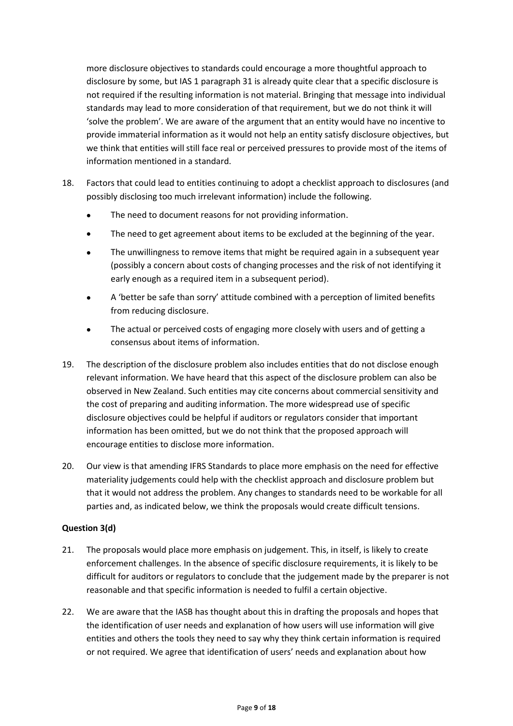more disclosure objectives to standards could encourage a more thoughtful approach to disclosure by some, but IAS 1 paragraph 31 is already quite clear that a specific disclosure is not required if the resulting information is not material. Bringing that message into individual standards may lead to more consideration of that requirement, but we do not think it will 'solve the problem'. We are aware of the argument that an entity would have no incentive to provide immaterial information as it would not help an entity satisfy disclosure objectives, but we think that entities will still face real or perceived pressures to provide most of the items of information mentioned in a standard.

- 18. Factors that could lead to entities continuing to adopt a checklist approach to disclosures (and possibly disclosing too much irrelevant information) include the following.
	- The need to document reasons for not providing information.
	- The need to get agreement about items to be excluded at the beginning of the year.
	- The unwillingness to remove items that might be required again in a subsequent year (possibly a concern about costs of changing processes and the risk of not identifying it early enough as a required item in a subsequent period).
	- A 'better be safe than sorry' attitude combined with a perception of limited benefits from reducing disclosure.
	- The actual or perceived costs of engaging more closely with users and of getting a consensus about items of information.
- 19. The description of the disclosure problem also includes entities that do not disclose enough relevant information. We have heard that this aspect of the disclosure problem can also be observed in New Zealand. Such entities may cite concerns about commercial sensitivity and the cost of preparing and auditing information. The more widespread use of specific disclosure objectives could be helpful if auditors or regulators consider that important information has been omitted, but we do not think that the proposed approach will encourage entities to disclose more information.
- 20. Our view is that amending IFRS Standards to place more emphasis on the need for effective materiality judgements could help with the checklist approach and disclosure problem but that it would not address the problem. Any changes to standards need to be workable for all parties and, as indicated below, we think the proposals would create difficult tensions.

# **Question 3(d)**

- 21. The proposals would place more emphasis on judgement. This, in itself, is likely to create enforcement challenges. In the absence of specific disclosure requirements, it is likely to be difficult for auditors or regulators to conclude that the judgement made by the preparer is not reasonable and that specific information is needed to fulfil a certain objective.
- 22. We are aware that the IASB has thought about this in drafting the proposals and hopes that the identification of user needs and explanation of how users will use information will give entities and others the tools they need to say why they think certain information is required or not required. We agree that identification of users' needs and explanation about how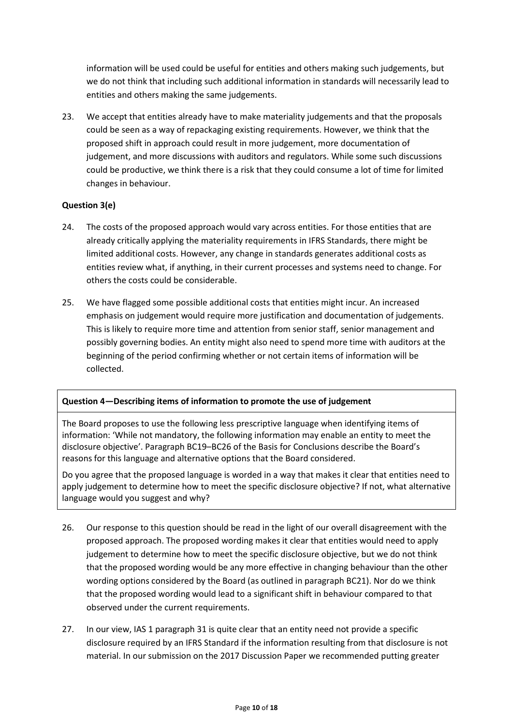information will be used could be useful for entities and others making such judgements, but we do not think that including such additional information in standards will necessarily lead to entities and others making the same judgements.

23. We accept that entities already have to make materiality judgements and that the proposals could be seen as a way of repackaging existing requirements. However, we think that the proposed shift in approach could result in more judgement, more documentation of judgement, and more discussions with auditors and regulators. While some such discussions could be productive, we think there is a risk that they could consume a lot of time for limited changes in behaviour.

# **Question 3(e)**

- 24. The costs of the proposed approach would vary across entities. For those entities that are already critically applying the materiality requirements in IFRS Standards, there might be limited additional costs. However, any change in standards generates additional costs as entities review what, if anything, in their current processes and systems need to change. For others the costs could be considerable.
- 25. We have flagged some possible additional costs that entities might incur. An increased emphasis on judgement would require more justification and documentation of judgements. This is likely to require more time and attention from senior staff, senior management and possibly governing bodies. An entity might also need to spend more time with auditors at the beginning of the period confirming whether or not certain items of information will be collected.

### **Question 4—Describing items of information to promote the use of judgement**

The Board proposes to use the following less prescriptive language when identifying items of information: 'While not mandatory, the following information may enable an entity to meet the disclosure objective'. Paragraph BC19–BC26 of the Basis for Conclusions describe the Board's reasons for this language and alternative options that the Board considered.

Do you agree that the proposed language is worded in a way that makes it clear that entities need to apply judgement to determine how to meet the specific disclosure objective? If not, what alternative language would you suggest and why?

- 26. Our response to this question should be read in the light of our overall disagreement with the proposed approach. The proposed wording makes it clear that entities would need to apply judgement to determine how to meet the specific disclosure objective, but we do not think that the proposed wording would be any more effective in changing behaviour than the other wording options considered by the Board (as outlined in paragraph BC21). Nor do we think that the proposed wording would lead to a significant shift in behaviour compared to that observed under the current requirements.
- 27. In our view, IAS 1 paragraph 31 is quite clear that an entity need not provide a specific disclosure required by an IFRS Standard if the information resulting from that disclosure is not material. In our submission on the 2017 Discussion Paper we recommended putting greater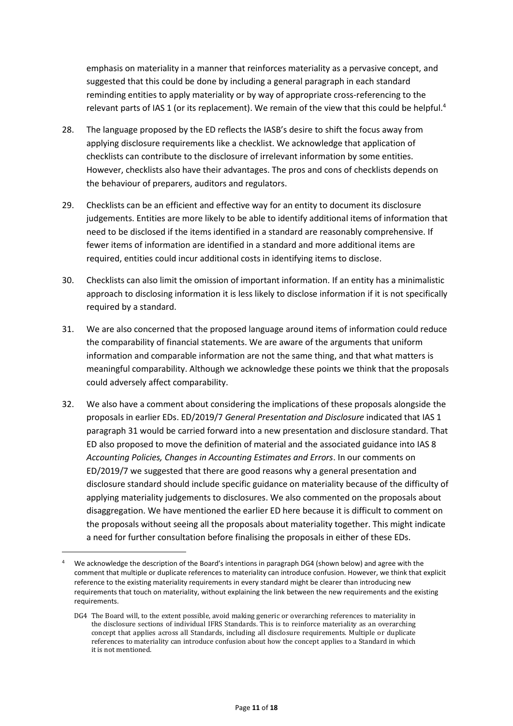emphasis on materiality in a manner that reinforces materiality as a pervasive concept, and suggested that this could be done by including a general paragraph in each standard reminding entities to apply materiality or by way of appropriate cross-referencing to the relevant parts of IAS 1 (or its replacement). We remain of the view that this could be helpful.<sup>4</sup>

- 28. The language proposed by the ED reflects the IASB's desire to shift the focus away from applying disclosure requirements like a checklist. We acknowledge that application of checklists can contribute to the disclosure of irrelevant information by some entities. However, checklists also have their advantages. The pros and cons of checklists depends on the behaviour of preparers, auditors and regulators.
- 29. Checklists can be an efficient and effective way for an entity to document its disclosure judgements. Entities are more likely to be able to identify additional items of information that need to be disclosed if the items identified in a standard are reasonably comprehensive. If fewer items of information are identified in a standard and more additional items are required, entities could incur additional costs in identifying items to disclose.
- 30. Checklists can also limit the omission of important information. If an entity has a minimalistic approach to disclosing information it is less likely to disclose information if it is not specifically required by a standard.
- 31. We are also concerned that the proposed language around items of information could reduce the comparability of financial statements. We are aware of the arguments that uniform information and comparable information are not the same thing, and that what matters is meaningful comparability. Although we acknowledge these points we think that the proposals could adversely affect comparability.
- 32. We also have a comment about considering the implications of these proposals alongside the proposals in earlier EDs. ED/2019/7 *General Presentation and Disclosure* indicated that IAS 1 paragraph 31 would be carried forward into a new presentation and disclosure standard. That ED also proposed to move the definition of material and the associated guidance into IAS 8 *Accounting Policies, Changes in Accounting Estimates and Errors*. In our comments on ED/2019/7 we suggested that there are good reasons why a general presentation and disclosure standard should include specific guidance on materiality because of the difficulty of applying materiality judgements to disclosures. We also commented on the proposals about disaggregation. We have mentioned the earlier ED here because it is difficult to comment on the proposals without seeing all the proposals about materiality together. This might indicate a need for further consultation before finalising the proposals in either of these EDs.

<sup>4</sup> We acknowledge the description of the Board's intentions in paragraph DG4 (shown below) and agree with the comment that multiple or duplicate references to materiality can introduce confusion. However, we think that explicit reference to the existing materiality requirements in every standard might be clearer than introducing new requirements that touch on materiality, without explaining the link between the new requirements and the existing requirements.

DG4 The Board will, to the extent possible, avoid making generic or overarching references to materiality in the disclosure sections of individual IFRS Standards. This is to reinforce materiality as an overarching concept that applies across all Standards, including all disclosure requirements. Multiple or duplicate references to materiality can introduce confusion about how the concept applies to a Standard in which it is not mentioned.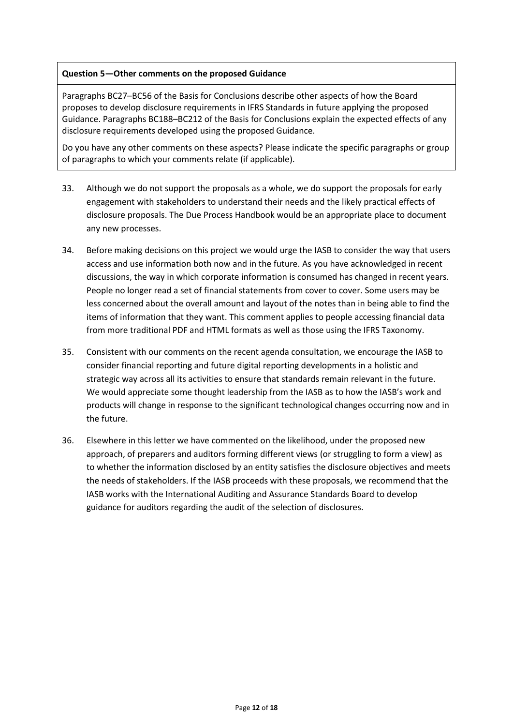### **Question 5—Other comments on the proposed Guidance**

Paragraphs BC27–BC56 of the Basis for Conclusions describe other aspects of how the Board proposes to develop disclosure requirements in IFRS Standards in future applying the proposed Guidance. Paragraphs BC188–BC212 of the Basis for Conclusions explain the expected effects of any disclosure requirements developed using the proposed Guidance.

Do you have any other comments on these aspects? Please indicate the specific paragraphs or group of paragraphs to which your comments relate (if applicable).

- 33. Although we do not support the proposals as a whole, we do support the proposals for early engagement with stakeholders to understand their needs and the likely practical effects of disclosure proposals. The Due Process Handbook would be an appropriate place to document any new processes.
- 34. Before making decisions on this project we would urge the IASB to consider the way that users access and use information both now and in the future. As you have acknowledged in recent discussions, the way in which corporate information is consumed has changed in recent years. People no longer read a set of financial statements from cover to cover. Some users may be less concerned about the overall amount and layout of the notes than in being able to find the items of information that they want. This comment applies to people accessing financial data from more traditional PDF and HTML formats as well as those using the IFRS Taxonomy.
- 35. Consistent with our comments on the recent agenda consultation, we encourage the IASB to consider financial reporting and future digital reporting developments in a holistic and strategic way across all its activities to ensure that standards remain relevant in the future. We would appreciate some thought leadership from the IASB as to how the IASB's work and products will change in response to the significant technological changes occurring now and in the future.
- 36. Elsewhere in this letter we have commented on the likelihood, under the proposed new approach, of preparers and auditors forming different views (or struggling to form a view) as to whether the information disclosed by an entity satisfies the disclosure objectives and meets the needs of stakeholders. If the IASB proceeds with these proposals, we recommend that the IASB works with the International Auditing and Assurance Standards Board to develop guidance for auditors regarding the audit of the selection of disclosures.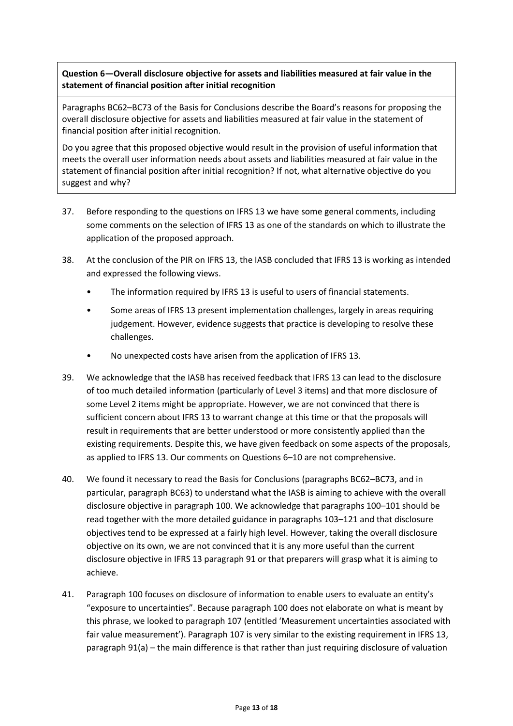**Question 6—Overall disclosure objective for assets and liabilities measured at fair value in the statement of financial position after initial recognition**

Paragraphs BC62–BC73 of the Basis for Conclusions describe the Board's reasons for proposing the overall disclosure objective for assets and liabilities measured at fair value in the statement of financial position after initial recognition.

Do you agree that this proposed objective would result in the provision of useful information that meets the overall user information needs about assets and liabilities measured at fair value in the statement of financial position after initial recognition? If not, what alternative objective do you suggest and why?

- 37. Before responding to the questions on IFRS 13 we have some general comments, including some comments on the selection of IFRS 13 as one of the standards on which to illustrate the application of the proposed approach.
- 38. At the conclusion of the PIR on IFRS 13, the IASB concluded that IFRS 13 is working as intended and expressed the following views.
	- The information required by IFRS 13 is useful to users of financial statements.
	- Some areas of IFRS 13 present implementation challenges, largely in areas requiring judgement. However, evidence suggests that practice is developing to resolve these challenges.
	- No unexpected costs have arisen from the application of IFRS 13.
- 39. We acknowledge that the IASB has received feedback that IFRS 13 can lead to the disclosure of too much detailed information (particularly of Level 3 items) and that more disclosure of some Level 2 items might be appropriate. However, we are not convinced that there is sufficient concern about IFRS 13 to warrant change at this time or that the proposals will result in requirements that are better understood or more consistently applied than the existing requirements. Despite this, we have given feedback on some aspects of the proposals, as applied to IFRS 13. Our comments on Questions 6–10 are not comprehensive.
- 40. We found it necessary to read the Basis for Conclusions (paragraphs BC62–BC73, and in particular, paragraph BC63) to understand what the IASB is aiming to achieve with the overall disclosure objective in paragraph 100. We acknowledge that paragraphs 100–101 should be read together with the more detailed guidance in paragraphs 103–121 and that disclosure objectives tend to be expressed at a fairly high level. However, taking the overall disclosure objective on its own, we are not convinced that it is any more useful than the current disclosure objective in IFRS 13 paragraph 91 or that preparers will grasp what it is aiming to achieve.
- 41. Paragraph 100 focuses on disclosure of information to enable users to evaluate an entity's "exposure to uncertainties". Because paragraph 100 does not elaborate on what is meant by this phrase, we looked to paragraph 107 (entitled 'Measurement uncertainties associated with fair value measurement'). Paragraph 107 is very similar to the existing requirement in IFRS 13, paragraph 91(a) – the main difference is that rather than just requiring disclosure of valuation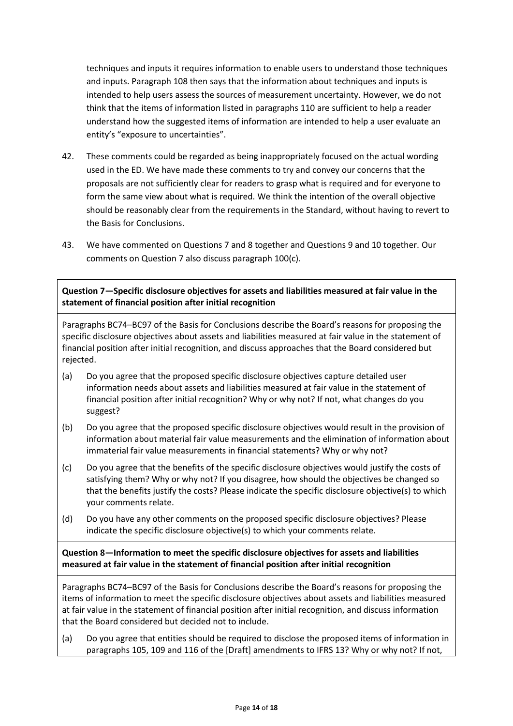techniques and inputs it requires information to enable users to understand those techniques and inputs. Paragraph 108 then says that the information about techniques and inputs is intended to help users assess the sources of measurement uncertainty. However, we do not think that the items of information listed in paragraphs 110 are sufficient to help a reader understand how the suggested items of information are intended to help a user evaluate an entity's "exposure to uncertainties".

- 42. These comments could be regarded as being inappropriately focused on the actual wording used in the ED. We have made these comments to try and convey our concerns that the proposals are not sufficiently clear for readers to grasp what is required and for everyone to form the same view about what is required. We think the intention of the overall objective should be reasonably clear from the requirements in the Standard, without having to revert to the Basis for Conclusions.
- 43. We have commented on Questions 7 and 8 together and Questions 9 and 10 together. Our comments on Question 7 also discuss paragraph 100(c).

**Question 7—Specific disclosure objectives for assets and liabilities measured at fair value in the statement of financial position after initial recognition**

Paragraphs BC74–BC97 of the Basis for Conclusions describe the Board's reasons for proposing the specific disclosure objectives about assets and liabilities measured at fair value in the statement of financial position after initial recognition, and discuss approaches that the Board considered but rejected.

- (a) Do you agree that the proposed specific disclosure objectives capture detailed user information needs about assets and liabilities measured at fair value in the statement of financial position after initial recognition? Why or why not? If not, what changes do you suggest?
- (b) Do you agree that the proposed specific disclosure objectives would result in the provision of information about material fair value measurements and the elimination of information about immaterial fair value measurements in financial statements? Why or why not?
- (c) Do you agree that the benefits of the specific disclosure objectives would justify the costs of satisfying them? Why or why not? If you disagree, how should the objectives be changed so that the benefits justify the costs? Please indicate the specific disclosure objective(s) to which your comments relate.
- (d) Do you have any other comments on the proposed specific disclosure objectives? Please indicate the specific disclosure objective(s) to which your comments relate.

**Question 8—Information to meet the specific disclosure objectives for assets and liabilities measured at fair value in the statement of financial position after initial recognition**

Paragraphs BC74–BC97 of the Basis for Conclusions describe the Board's reasons for proposing the items of information to meet the specific disclosure objectives about assets and liabilities measured at fair value in the statement of financial position after initial recognition, and discuss information that the Board considered but decided not to include.

(a) Do you agree that entities should be required to disclose the proposed items of information in paragraphs 105, 109 and 116 of the [Draft] amendments to IFRS 13? Why or why not? If not,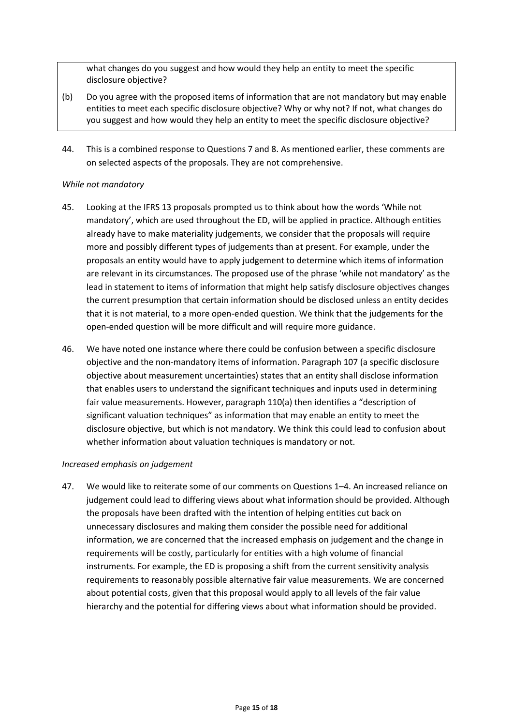what changes do you suggest and how would they help an entity to meet the specific disclosure objective?

- (b) Do you agree with the proposed items of information that are not mandatory but may enable entities to meet each specific disclosure objective? Why or why not? If not, what changes do you suggest and how would they help an entity to meet the specific disclosure objective?
- 44. This is a combined response to Questions 7 and 8. As mentioned earlier, these comments are on selected aspects of the proposals. They are not comprehensive.

## *While not mandatory*

- 45. Looking at the IFRS 13 proposals prompted us to think about how the words 'While not mandatory', which are used throughout the ED, will be applied in practice. Although entities already have to make materiality judgements, we consider that the proposals will require more and possibly different types of judgements than at present. For example, under the proposals an entity would have to apply judgement to determine which items of information are relevant in its circumstances. The proposed use of the phrase 'while not mandatory' as the lead in statement to items of information that might help satisfy disclosure objectives changes the current presumption that certain information should be disclosed unless an entity decides that it is not material, to a more open-ended question. We think that the judgements for the open-ended question will be more difficult and will require more guidance.
- 46. We have noted one instance where there could be confusion between a specific disclosure objective and the non-mandatory items of information. Paragraph 107 (a specific disclosure objective about measurement uncertainties) states that an entity shall disclose information that enables users to understand the significant techniques and inputs used in determining fair value measurements. However, paragraph 110(a) then identifies a "description of significant valuation techniques" as information that may enable an entity to meet the disclosure objective, but which is not mandatory. We think this could lead to confusion about whether information about valuation techniques is mandatory or not.

### *Increased emphasis on judgement*

47. We would like to reiterate some of our comments on Questions 1–4. An increased reliance on judgement could lead to differing views about what information should be provided. Although the proposals have been drafted with the intention of helping entities cut back on unnecessary disclosures and making them consider the possible need for additional information, we are concerned that the increased emphasis on judgement and the change in requirements will be costly, particularly for entities with a high volume of financial instruments. For example, the ED is proposing a shift from the current sensitivity analysis requirements to reasonably possible alternative fair value measurements. We are concerned about potential costs, given that this proposal would apply to all levels of the fair value hierarchy and the potential for differing views about what information should be provided.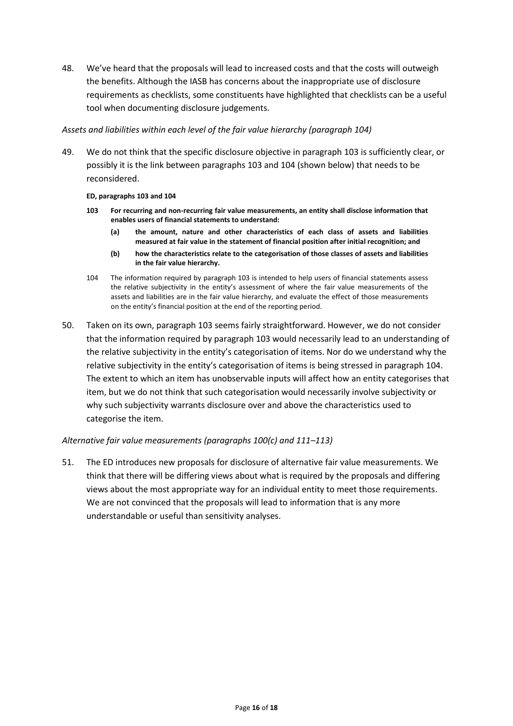48. We've heard that the proposals will lead to increased costs and that the costs will outweigh the benefits. Although the IASB has concerns about the inappropriate use of disclosure requirements as checklists, some constituents have highlighted that checklists can be a useful tool when documenting disclosure judgements.

### *Assets and liabilities within each level of the fair value hierarchy (paragraph 104)*

49. We do not think that the specific disclosure objective in paragraph 103 is sufficiently clear, or possibly it is the link between paragraphs 103 and 104 (shown below) that needs to be reconsidered.

#### **ED, paragraphs 103 and 104**

- **103 For recurring and non-recurring fair value measurements, an entity shall disclose information that enables users of financial statements to understand:**
	- **(a) the amount, nature and other characteristics of each class of assets and liabilities measured at fair value in the statement of financial position after initial recognition; and**
	- **(b) how the characteristics relate to the categorisation of those classes of assets and liabilities in the fair value hierarchy.**
- 104 The information required by paragraph 103 is intended to help users of financial statements assess the relative subjectivity in the entity's assessment of where the fair value measurements of the assets and liabilities are in the fair value hierarchy, and evaluate the effect of those measurements on the entity's financial position at the end of the reporting period.
- 50. Taken on its own, paragraph 103 seems fairly straightforward. However, we do not consider that the information required by paragraph 103 would necessarily lead to an understanding of the relative subjectivity in the entity's categorisation of items. Nor do we understand why the relative subjectivity in the entity's categorisation of items is being stressed in paragraph 104. The extent to which an item has unobservable inputs will affect how an entity categorises that item, but we do not think that such categorisation would necessarily involve subjectivity or why such subjectivity warrants disclosure over and above the characteristics used to categorise the item.

# *Alternative fair value measurements (paragraphs 100(c) and 111–113)*

51. The ED introduces new proposals for disclosure of alternative fair value measurements. We think that there will be differing views about what is required by the proposals and differing views about the most appropriate way for an individual entity to meet those requirements. We are not convinced that the proposals will lead to information that is any more understandable or useful than sensitivity analyses.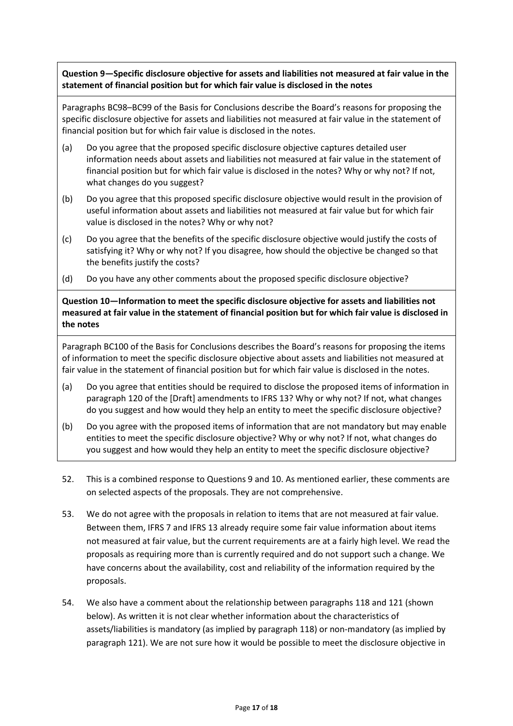**Question 9—Specific disclosure objective for assets and liabilities not measured at fair value in the statement of financial position but for which fair value is disclosed in the notes**

Paragraphs BC98–BC99 of the Basis for Conclusions describe the Board's reasons for proposing the specific disclosure objective for assets and liabilities not measured at fair value in the statement of financial position but for which fair value is disclosed in the notes.

- (a) Do you agree that the proposed specific disclosure objective captures detailed user information needs about assets and liabilities not measured at fair value in the statement of financial position but for which fair value is disclosed in the notes? Why or why not? If not, what changes do you suggest?
- (b) Do you agree that this proposed specific disclosure objective would result in the provision of useful information about assets and liabilities not measured at fair value but for which fair value is disclosed in the notes? Why or why not?
- (c) Do you agree that the benefits of the specific disclosure objective would justify the costs of satisfying it? Why or why not? If you disagree, how should the objective be changed so that the benefits justify the costs?
- (d) Do you have any other comments about the proposed specific disclosure objective?

**Question 10—Information to meet the specific disclosure objective for assets and liabilities not measured at fair value in the statement of financial position but for which fair value is disclosed in the notes**

Paragraph BC100 of the Basis for Conclusions describes the Board's reasons for proposing the items of information to meet the specific disclosure objective about assets and liabilities not measured at fair value in the statement of financial position but for which fair value is disclosed in the notes.

- (a) Do you agree that entities should be required to disclose the proposed items of information in paragraph 120 of the [Draft] amendments to IFRS 13? Why or why not? If not, what changes do you suggest and how would they help an entity to meet the specific disclosure objective?
- (b) Do you agree with the proposed items of information that are not mandatory but may enable entities to meet the specific disclosure objective? Why or why not? If not, what changes do you suggest and how would they help an entity to meet the specific disclosure objective?
- 52. This is a combined response to Questions 9 and 10. As mentioned earlier, these comments are on selected aspects of the proposals. They are not comprehensive.
- 53. We do not agree with the proposals in relation to items that are not measured at fair value. Between them, IFRS 7 and IFRS 13 already require some fair value information about items not measured at fair value, but the current requirements are at a fairly high level. We read the proposals as requiring more than is currently required and do not support such a change. We have concerns about the availability, cost and reliability of the information required by the proposals.
- 54. We also have a comment about the relationship between paragraphs 118 and 121 (shown below). As written it is not clear whether information about the characteristics of assets/liabilities is mandatory (as implied by paragraph 118) or non-mandatory (as implied by paragraph 121). We are not sure how it would be possible to meet the disclosure objective in